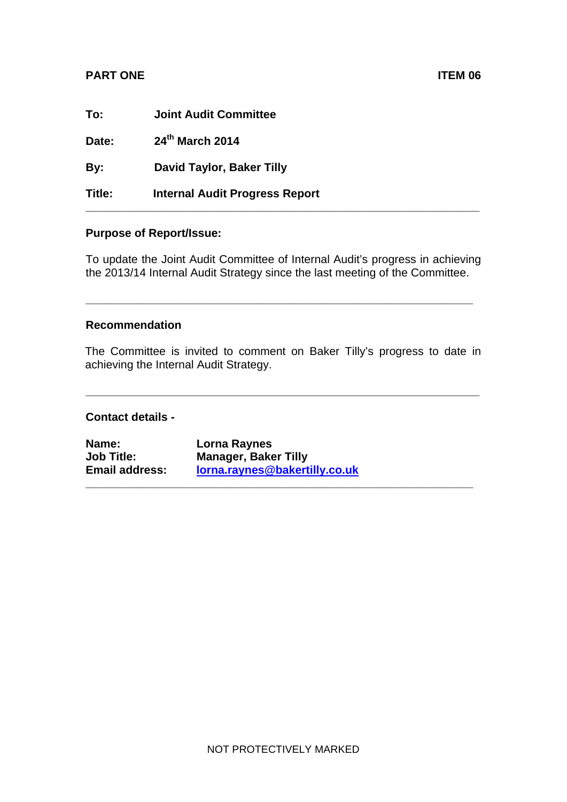## **PART ONE** ITEM 06

| To:    | <b>Joint Audit Committee</b>          |
|--------|---------------------------------------|
| Date:  | 24th March 2014                       |
| By:    | <b>David Taylor, Baker Tilly</b>      |
| Title: | <b>Internal Audit Progress Report</b> |

## **Purpose of Report/Issue:**

To update the Joint Audit Committee of Internal Audit's progress in achieving the 2013/14 Internal Audit Strategy since the last meeting of the Committee.

**\_\_\_\_\_\_\_\_\_\_\_\_\_\_\_\_\_\_\_\_\_\_\_\_\_\_\_\_\_\_\_\_\_\_\_\_\_\_\_\_\_\_\_\_\_\_\_\_\_\_\_\_\_\_\_\_\_\_\_\_\_** 

## **Recommendation**

The Committee is invited to comment on Baker Tilly's progress to date in achieving the Internal Audit Strategy.

**\_\_\_\_\_\_\_\_\_\_\_\_\_\_\_\_\_\_\_\_\_\_\_\_\_\_\_\_\_\_\_\_\_\_\_\_\_\_\_\_\_\_\_\_\_\_\_\_\_\_\_\_\_\_\_\_\_\_\_\_\_\_** 

**\_\_\_\_\_\_\_\_\_\_\_\_\_\_\_\_\_\_\_\_\_\_\_\_\_\_\_\_\_\_\_\_\_\_\_\_\_\_\_\_\_\_\_\_\_\_\_\_\_\_\_\_\_\_\_\_\_\_\_\_\_**

## **Contact details -**

| Name:                 | Lorna Raynes                  |
|-----------------------|-------------------------------|
| <b>Job Title:</b>     | <b>Manager, Baker Tilly</b>   |
| <b>Email address:</b> | lorna.raynes@bakertilly.co.uk |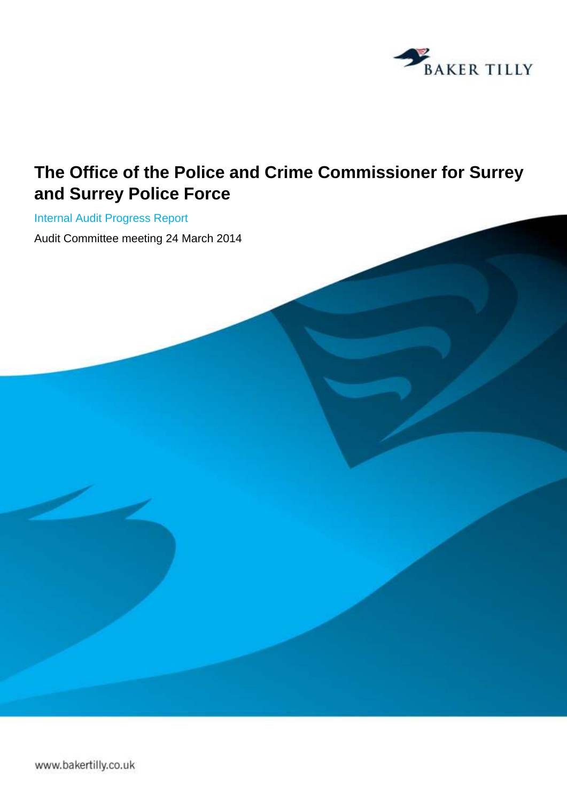

# **The Office of the Police and Crime Commissioner for Surrey and Surrey Police Force**

Internal Audit Progress Report Audit Committee meeting 24 March 2014

www.bakertilly.co.uk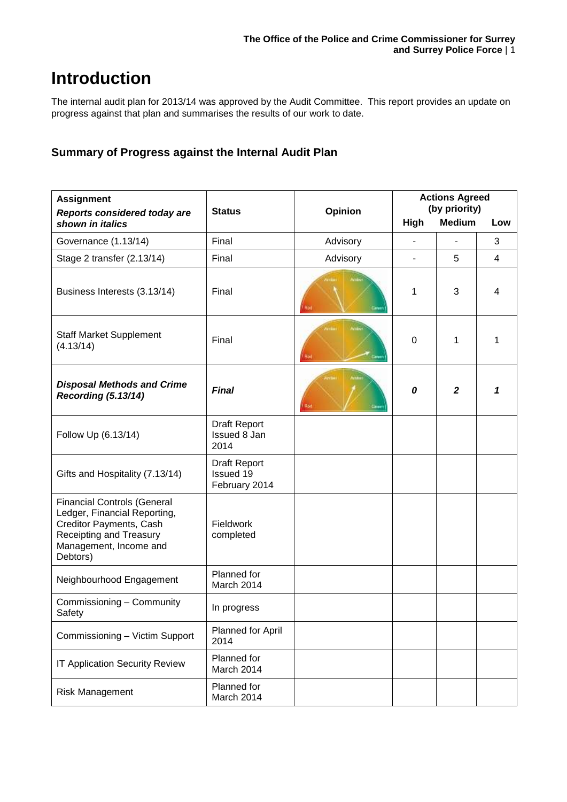# **Introduction**

The internal audit plan for 2013/14 was approved by the Audit Committee. This report provides an update on progress against that plan and summarises the results of our work to date.

## **Summary of Progress against the Internal Audit Plan**

| <b>Assignment</b>                                                                                                                                              | <b>Status</b>                                     | Opinion  | <b>Actions Agreed</b><br>(by priority) |                  |                |
|----------------------------------------------------------------------------------------------------------------------------------------------------------------|---------------------------------------------------|----------|----------------------------------------|------------------|----------------|
| <b>Reports considered today are</b><br>shown in italics                                                                                                        |                                                   |          | <b>High</b>                            | <b>Medium</b>    | Low            |
| Governance (1.13/14)                                                                                                                                           | Final                                             | Advisory |                                        |                  | 3              |
| Stage 2 transfer (2.13/14)                                                                                                                                     | Final                                             | Advisory | $\overline{\phantom{0}}$               | 5                | $\overline{4}$ |
| Business Interests (3.13/14)                                                                                                                                   | Final                                             | Rüd      | 1                                      | 3                | 4              |
| <b>Staff Market Supplement</b><br>(4.13/14)                                                                                                                    | Final                                             | Anti     | $\mathbf 0$                            | 1                | 1              |
| <b>Disposal Methods and Crime</b><br><b>Recording (5.13/14)</b>                                                                                                | <b>Final</b>                                      | Red      | 0                                      | $\boldsymbol{2}$ | 1              |
| Follow Up (6.13/14)                                                                                                                                            | Draft Report<br>Issued 8 Jan<br>2014              |          |                                        |                  |                |
| Gifts and Hospitality (7.13/14)                                                                                                                                | Draft Report<br><b>Issued 19</b><br>February 2014 |          |                                        |                  |                |
| <b>Financial Controls (General</b><br>Ledger, Financial Reporting,<br>Creditor Payments, Cash<br>Receipting and Treasury<br>Management, Income and<br>Debtors) | Fieldwork<br>completed                            |          |                                        |                  |                |
| Neighbourhood Engagement                                                                                                                                       | Planned for<br>March 2014                         |          |                                        |                  |                |
| Commissioning - Community<br>Safety                                                                                                                            | In progress                                       |          |                                        |                  |                |
| Commissioning - Victim Support                                                                                                                                 | Planned for April<br>2014                         |          |                                        |                  |                |
| <b>IT Application Security Review</b>                                                                                                                          | Planned for<br>March 2014                         |          |                                        |                  |                |
| <b>Risk Management</b>                                                                                                                                         | Planned for<br>March 2014                         |          |                                        |                  |                |